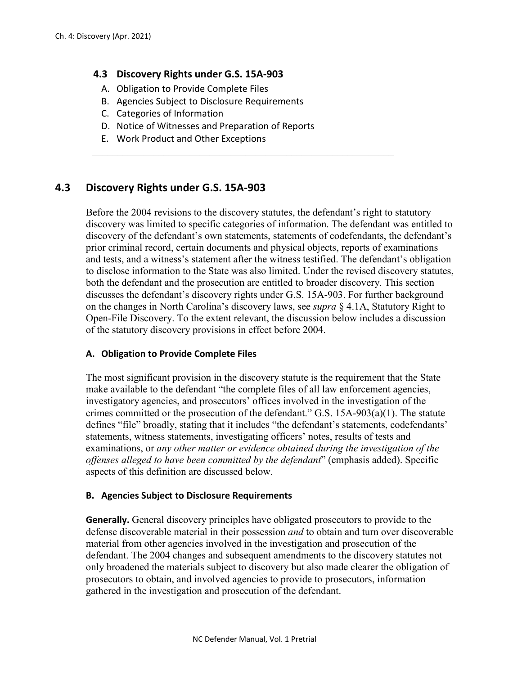### **4.3 Discovery Rights under G.S. 15A-903**

- A. Obligation to Provide Complete Files
- B. Agencies Subject to Disclosure Requirements
- C. Categories of Information
- D. Notice of Witnesses and Preparation of Reports
- E. Work Product and Other Exceptions

# **4.3 Discovery Rights under G.S. 15A-903**

Before the 2004 revisions to the discovery statutes, the defendant's right to statutory discovery was limited to specific categories of information. The defendant was entitled to discovery of the defendant's own statements, statements of codefendants, the defendant's prior criminal record, certain documents and physical objects, reports of examinations and tests, and a witness's statement after the witness testified. The defendant's obligation to disclose information to the State was also limited. Under the revised discovery statutes, both the defendant and the prosecution are entitled to broader discovery. This section discusses the defendant's discovery rights under G.S. 15A-903. For further background on the changes in North Carolina's discovery laws, see *supra* § 4.1A, Statutory Right to Open-File Discovery. To the extent relevant, the discussion below includes a discussion of the statutory discovery provisions in effect before 2004.

#### **A. Obligation to Provide Complete Files**

The most significant provision in the discovery statute is the requirement that the State make available to the defendant "the complete files of all law enforcement agencies, investigatory agencies, and prosecutors' offices involved in the investigation of the crimes committed or the prosecution of the defendant." G.S. 15A-903(a)(1). The statute defines "file" broadly, stating that it includes "the defendant's statements, codefendants' statements, witness statements, investigating officers' notes, results of tests and examinations, or *any other matter or evidence obtained during the investigation of the offenses alleged to have been committed by the defendant*" (emphasis added). Specific aspects of this definition are discussed below.

#### **B. Agencies Subject to Disclosure Requirements**

**Generally.** General discovery principles have obligated prosecutors to provide to the defense discoverable material in their possession *and* to obtain and turn over discoverable material from other agencies involved in the investigation and prosecution of the defendant. The 2004 changes and subsequent amendments to the discovery statutes not only broadened the materials subject to discovery but also made clearer the obligation of prosecutors to obtain, and involved agencies to provide to prosecutors, information gathered in the investigation and prosecution of the defendant.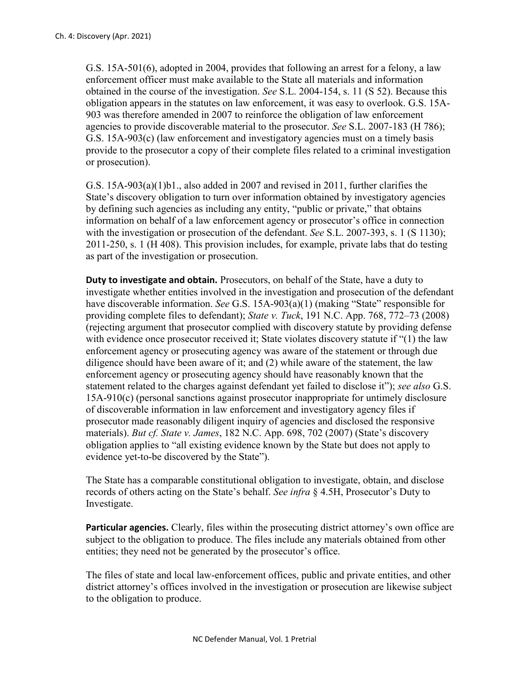G.S. 15A-501(6), adopted in 2004, provides that following an arrest for a felony, a law enforcement officer must make available to the State all materials and information obtained in the course of the investigation. *See* S.L. 2004-154, s. 11 (S 52). Because this obligation appears in the statutes on law enforcement, it was easy to overlook. G.S. 15A-903 was therefore amended in 2007 to reinforce the obligation of law enforcement agencies to provide discoverable material to the prosecutor. *See* S.L. 2007-183 (H 786); G.S. 15A-903(c) (law enforcement and investigatory agencies must on a timely basis provide to the prosecutor a copy of their complete files related to a criminal investigation or prosecution).

G.S. 15A-903(a)(1)b1., also added in 2007 and revised in 2011, further clarifies the State's discovery obligation to turn over information obtained by investigatory agencies by defining such agencies as including any entity, "public or private," that obtains information on behalf of a law enforcement agency or prosecutor's office in connection with the investigation or prosecution of the defendant. *See* S.L. 2007-393, s. 1 (S 1130); 2011-250, s. 1 (H 408). This provision includes, for example, private labs that do testing as part of the investigation or prosecution.

**Duty to investigate and obtain.** Prosecutors, on behalf of the State, have a duty to investigate whether entities involved in the investigation and prosecution of the defendant have discoverable information. *See* G.S. 15A-903(a)(1) (making "State" responsible for providing complete files to defendant); *State v. Tuck*, 191 N.C. App. 768, 772–73 (2008) (rejecting argument that prosecutor complied with discovery statute by providing defense with evidence once prosecutor received it; State violates discovery statute if "(1) the law enforcement agency or prosecuting agency was aware of the statement or through due diligence should have been aware of it; and (2) while aware of the statement, the law enforcement agency or prosecuting agency should have reasonably known that the statement related to the charges against defendant yet failed to disclose it"); *see also* G.S. 15A-910(c) (personal sanctions against prosecutor inappropriate for untimely disclosure of discoverable information in law enforcement and investigatory agency files if prosecutor made reasonably diligent inquiry of agencies and disclosed the responsive materials). *But cf. State v. James*, 182 N.C. App. 698, 702 (2007) (State's discovery obligation applies to "all existing evidence known by the State but does not apply to evidence yet-to-be discovered by the State").

The State has a comparable constitutional obligation to investigate, obtain, and disclose records of others acting on the State's behalf. *See infra* § 4.5H, Prosecutor's Duty to Investigate.

**Particular agencies.** Clearly, files within the prosecuting district attorney's own office are subject to the obligation to produce. The files include any materials obtained from other entities; they need not be generated by the prosecutor's office.

The files of state and local law-enforcement offices, public and private entities, and other district attorney's offices involved in the investigation or prosecution are likewise subject to the obligation to produce.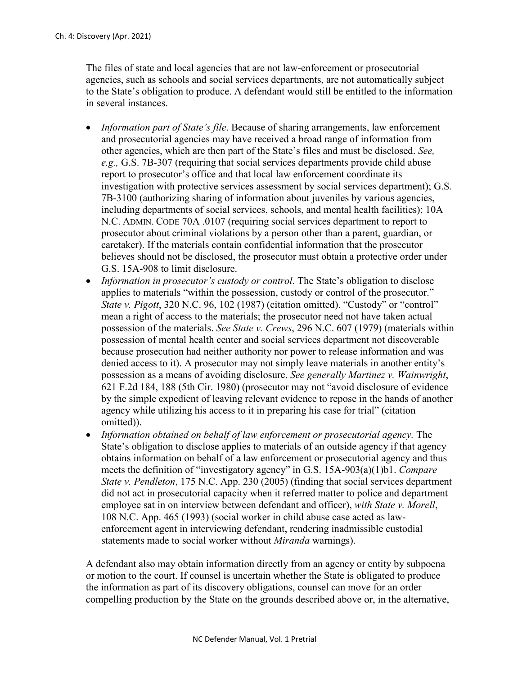The files of state and local agencies that are not law-enforcement or prosecutorial agencies, such as schools and social services departments, are not automatically subject to the State's obligation to produce. A defendant would still be entitled to the information in several instances.

- *Information part of State's file*. Because of sharing arrangements, law enforcement and prosecutorial agencies may have received a broad range of information from other agencies, which are then part of the State's files and must be disclosed. *See, e.g.,* G.S. 7B-307 (requiring that social services departments provide child abuse report to prosecutor's office and that local law enforcement coordinate its investigation with protective services assessment by social services department); G.S. 7B-3100 (authorizing sharing of information about juveniles by various agencies, including departments of social services, schools, and mental health facilities); 10A N.C. ADMIN. CODE 70A .0107 (requiring social services department to report to prosecutor about criminal violations by a person other than a parent, guardian, or caretaker). If the materials contain confidential information that the prosecutor believes should not be disclosed, the prosecutor must obtain a protective order under G.S. 15A-908 to limit disclosure.
- *Information in prosecutor's custody or control*. The State's obligation to disclose applies to materials "within the possession, custody or control of the prosecutor." *State v. Pigott*, 320 N.C. 96, 102 (1987) (citation omitted). "Custody" or "control" mean a right of access to the materials; the prosecutor need not have taken actual possession of the materials. *See State v. Crews*, 296 N.C. 607 (1979) (materials within possession of mental health center and social services department not discoverable because prosecution had neither authority nor power to release information and was denied access to it). A prosecutor may not simply leave materials in another entity's possession as a means of avoiding disclosure. *See generally Martinez v. Wainwright*, 621 F.2d 184, 188 (5th Cir. 1980) (prosecutor may not "avoid disclosure of evidence by the simple expedient of leaving relevant evidence to repose in the hands of another agency while utilizing his access to it in preparing his case for trial" (citation omitted)).
- *Information obtained on behalf of law enforcement or prosecutorial agency.* The State's obligation to disclose applies to materials of an outside agency if that agency obtains information on behalf of a law enforcement or prosecutorial agency and thus meets the definition of "investigatory agency" in G.S. 15A-903(a)(1)b1. *Compare State v. Pendleton*, 175 N.C. App. 230 (2005) (finding that social services department did not act in prosecutorial capacity when it referred matter to police and department employee sat in on interview between defendant and officer), *with State v. Morell*, 108 N.C. App. 465 (1993) (social worker in child abuse case acted as lawenforcement agent in interviewing defendant, rendering inadmissible custodial statements made to social worker without *Miranda* warnings).

A defendant also may obtain information directly from an agency or entity by subpoena or motion to the court. If counsel is uncertain whether the State is obligated to produce the information as part of its discovery obligations, counsel can move for an order compelling production by the State on the grounds described above or, in the alternative,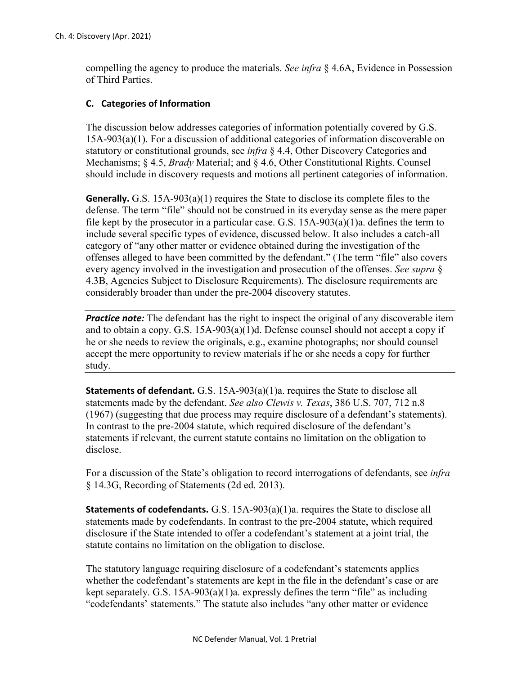compelling the agency to produce the materials. *See infra* § 4.6A, Evidence in Possession of Third Parties.

## **C. Categories of Information**

The discussion below addresses categories of information potentially covered by G.S. 15A-903(a)(1). For a discussion of additional categories of information discoverable on statutory or constitutional grounds, see *infra* § 4.4, Other Discovery Categories and Mechanisms; § 4.5, *Brady* Material; and § 4.6, Other Constitutional Rights. Counsel should include in discovery requests and motions all pertinent categories of information.

**Generally.** G.S. 15A-903(a)(1) requires the State to disclose its complete files to the defense. The term "file" should not be construed in its everyday sense as the mere paper file kept by the prosecutor in a particular case. G.S. 15A-903(a)(1)a. defines the term to include several specific types of evidence, discussed below. It also includes a catch-all category of "any other matter or evidence obtained during the investigation of the offenses alleged to have been committed by the defendant." (The term "file" also covers every agency involved in the investigation and prosecution of the offenses. *See supra* § 4.3B, Agencies Subject to Disclosure Requirements). The disclosure requirements are considerably broader than under the pre-2004 discovery statutes.

**Practice note:** The defendant has the right to inspect the original of any discoverable item and to obtain a copy. G.S. 15A-903(a)(1)d. Defense counsel should not accept a copy if he or she needs to review the originals, e.g., examine photographs; nor should counsel accept the mere opportunity to review materials if he or she needs a copy for further study.

**Statements of defendant.** G.S. 15A-903(a)(1)a. requires the State to disclose all statements made by the defendant. *See also Clewis v. Texas*, 386 U.S. 707, 712 n.8 (1967) (suggesting that due process may require disclosure of a defendant's statements). In contrast to the pre-2004 statute, which required disclosure of the defendant's statements if relevant, the current statute contains no limitation on the obligation to disclose.

For a discussion of the State's obligation to record interrogations of defendants, see *infra*  § 14.3G, Recording of Statements (2d ed. 2013).

**Statements of codefendants.** G.S. 15A-903(a)(1)a. requires the State to disclose all statements made by codefendants. In contrast to the pre-2004 statute, which required disclosure if the State intended to offer a codefendant's statement at a joint trial, the statute contains no limitation on the obligation to disclose.

The statutory language requiring disclosure of a codefendant's statements applies whether the codefendant's statements are kept in the file in the defendant's case or are kept separately. G.S. 15A-903(a)(1)a. expressly defines the term "file" as including "codefendants' statements." The statute also includes "any other matter or evidence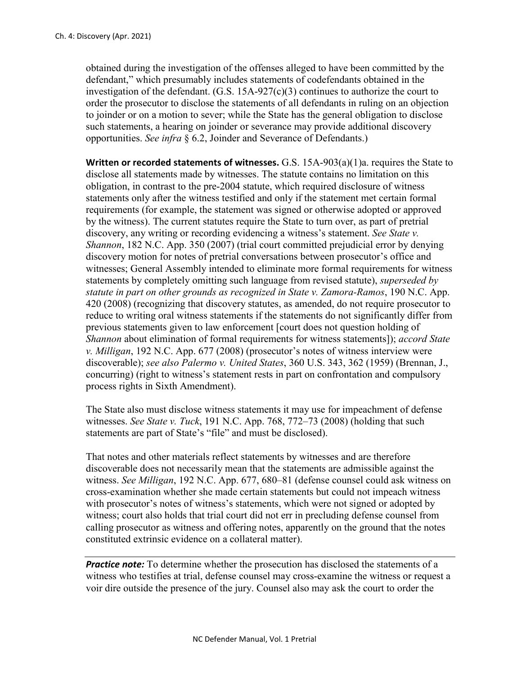obtained during the investigation of the offenses alleged to have been committed by the defendant," which presumably includes statements of codefendants obtained in the investigation of the defendant. (G.S. 15A-927(c)(3) continues to authorize the court to order the prosecutor to disclose the statements of all defendants in ruling on an objection to joinder or on a motion to sever; while the State has the general obligation to disclose such statements, a hearing on joinder or severance may provide additional discovery opportunities. *See infra* § 6.2, Joinder and Severance of Defendants.)

**Written or recorded statements of witnesses.** G.S. 15A-903(a)(1)a. requires the State to disclose all statements made by witnesses. The statute contains no limitation on this obligation, in contrast to the pre-2004 statute, which required disclosure of witness statements only after the witness testified and only if the statement met certain formal requirements (for example, the statement was signed or otherwise adopted or approved by the witness). The current statutes require the State to turn over, as part of pretrial discovery, any writing or recording evidencing a witness's statement. *See State v. Shannon*, 182 N.C. App. 350 (2007) (trial court committed prejudicial error by denying discovery motion for notes of pretrial conversations between prosecutor's office and witnesses; General Assembly intended to eliminate more formal requirements for witness statements by completely omitting such language from revised statute), *superseded by statute in part on other grounds as recognized in State v. Zamora-Ramos*, 190 N.C. App. 420 (2008) (recognizing that discovery statutes, as amended, do not require prosecutor to reduce to writing oral witness statements if the statements do not significantly differ from previous statements given to law enforcement [court does not question holding of *Shannon* about elimination of formal requirements for witness statements]); *accord State v. Milligan*, 192 N.C. App. 677 (2008) (prosecutor's notes of witness interview were discoverable); *see also Palermo v. United States*, 360 U.S. 343, 362 (1959) (Brennan, J., concurring) (right to witness's statement rests in part on confrontation and compulsory process rights in Sixth Amendment).

The State also must disclose witness statements it may use for impeachment of defense witnesses. *See State v. Tuck*, 191 N.C. App. 768, 772–73 (2008) (holding that such statements are part of State's "file" and must be disclosed).

That notes and other materials reflect statements by witnesses and are therefore discoverable does not necessarily mean that the statements are admissible against the witness. *See Milligan*, 192 N.C. App. 677, 680–81 (defense counsel could ask witness on cross-examination whether she made certain statements but could not impeach witness with prosecutor's notes of witness's statements, which were not signed or adopted by witness; court also holds that trial court did not err in precluding defense counsel from calling prosecutor as witness and offering notes, apparently on the ground that the notes constituted extrinsic evidence on a collateral matter).

*Practice note:* To determine whether the prosecution has disclosed the statements of a witness who testifies at trial, defense counsel may cross-examine the witness or request a voir dire outside the presence of the jury. Counsel also may ask the court to order the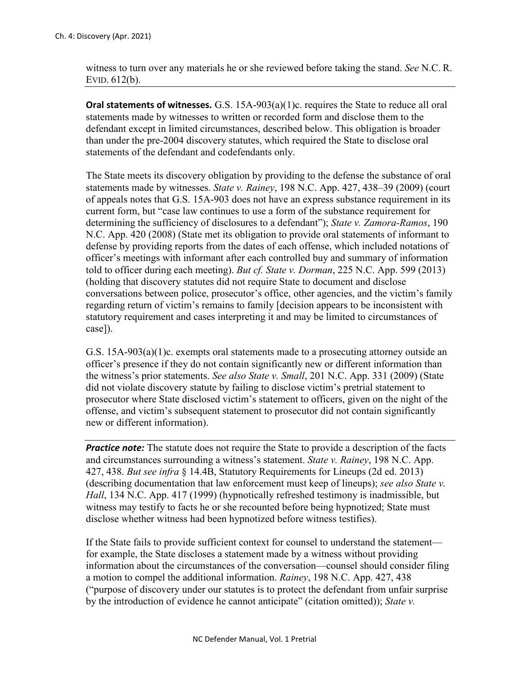witness to turn over any materials he or she reviewed before taking the stand. *See* N.C. R. EVID. 612(b).

**Oral statements of witnesses.** G.S. 15A-903(a)(1)c. requires the State to reduce all oral statements made by witnesses to written or recorded form and disclose them to the defendant except in limited circumstances, described below. This obligation is broader than under the pre-2004 discovery statutes, which required the State to disclose oral statements of the defendant and codefendants only.

The State meets its discovery obligation by providing to the defense the substance of oral statements made by witnesses. *State v. Rainey*, 198 N.C. App. 427, 438–39 (2009) (court of appeals notes that G.S. 15A-903 does not have an express substance requirement in its current form, but "case law continues to use a form of the substance requirement for determining the sufficiency of disclosures to a defendant"); *State v. Zamora-Ramos*, 190 N.C. App. 420 (2008) (State met its obligation to provide oral statements of informant to defense by providing reports from the dates of each offense, which included notations of officer's meetings with informant after each controlled buy and summary of information told to officer during each meeting). *But cf. State v. Dorman*, 225 N.C. App. 599 (2013) (holding that discovery statutes did not require State to document and disclose conversations between police, prosecutor's office, other agencies, and the victim's family regarding return of victim's remains to family [decision appears to be inconsistent with statutory requirement and cases interpreting it and may be limited to circumstances of case]).

G.S. 15A-903(a)(1)c. exempts oral statements made to a prosecuting attorney outside an officer's presence if they do not contain significantly new or different information than the witness's prior statements. *See also State v. Small*, 201 N.C. App. 331 (2009) (State did not violate discovery statute by failing to disclose victim's pretrial statement to prosecutor where State disclosed victim's statement to officers, given on the night of the offense, and victim's subsequent statement to prosecutor did not contain significantly new or different information).

*Practice note:* The statute does not require the State to provide a description of the facts and circumstances surrounding a witness's statement. *State v. Rainey*, 198 N.C. App. 427, 438. *But see infra* § 14.4B, Statutory Requirements for Lineups (2d ed. 2013) (describing documentation that law enforcement must keep of lineups); *see also State v. Hall*, 134 N.C. App. 417 (1999) (hypnotically refreshed testimony is inadmissible, but witness may testify to facts he or she recounted before being hypnotized; State must disclose whether witness had been hypnotized before witness testifies).

If the State fails to provide sufficient context for counsel to understand the statement for example, the State discloses a statement made by a witness without providing information about the circumstances of the conversation—counsel should consider filing a motion to compel the additional information. *Rainey*, 198 N.C. App. 427, 438 ("purpose of discovery under our statutes is to protect the defendant from unfair surprise by the introduction of evidence he cannot anticipate" (citation omitted)); *State v.*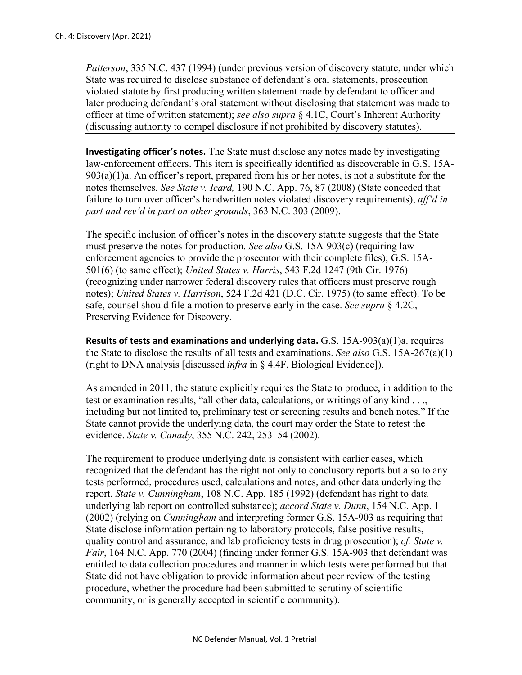*Patterson*, 335 N.C. 437 (1994) (under previous version of discovery statute, under which State was required to disclose substance of defendant's oral statements, prosecution violated statute by first producing written statement made by defendant to officer and later producing defendant's oral statement without disclosing that statement was made to officer at time of written statement); *see also supra* § 4.1C, Court's Inherent Authority (discussing authority to compel disclosure if not prohibited by discovery statutes).

**Investigating officer's notes.** The State must disclose any notes made by investigating law-enforcement officers. This item is specifically identified as discoverable in G.S. 15A- $903(a)(1)a$ . An officer's report, prepared from his or her notes, is not a substitute for the notes themselves. *See State v. Icard,* 190 N.C. App. 76, 87 (2008) (State conceded that failure to turn over officer's handwritten notes violated discovery requirements), *aff'd in part and rev'd in part on other grounds*, 363 N.C. 303 (2009).

The specific inclusion of officer's notes in the discovery statute suggests that the State must preserve the notes for production. *See also* G.S. 15A-903(c) (requiring law enforcement agencies to provide the prosecutor with their complete files); G.S. 15A-501(6) (to same effect); *United States v. Harris*, 543 F.2d 1247 (9th Cir. 1976) (recognizing under narrower federal discovery rules that officers must preserve rough notes); *United States v. Harrison*, 524 F.2d 421 (D.C. Cir. 1975) (to same effect). To be safe, counsel should file a motion to preserve early in the case. *See supra* § 4.2C, Preserving Evidence for Discovery.

**Results of tests and examinations and underlying data.** G.S. 15A-903(a)(1)a. requires the State to disclose the results of all tests and examinations. *See also* G.S. 15A-267(a)(1) (right to DNA analysis [discussed *infra* in § 4.4F, Biological Evidence]).

As amended in 2011, the statute explicitly requires the State to produce, in addition to the test or examination results, "all other data, calculations, or writings of any kind . . ., including but not limited to, preliminary test or screening results and bench notes." If the State cannot provide the underlying data, the court may order the State to retest the evidence. *State v. Canady*, 355 N.C. 242, 253–54 (2002).

The requirement to produce underlying data is consistent with earlier cases, which recognized that the defendant has the right not only to conclusory reports but also to any tests performed, procedures used, calculations and notes, and other data underlying the report. *State v. Cunningham*, 108 N.C. App. 185 (1992) (defendant has right to data underlying lab report on controlled substance); *accord State v. Dunn*, 154 N.C. App. 1 (2002) (relying on *Cunningham* and interpreting former G.S. 15A-903 as requiring that State disclose information pertaining to laboratory protocols, false positive results, quality control and assurance, and lab proficiency tests in drug prosecution); *cf. State v. Fair*, 164 N.C. App. 770 (2004) (finding under former G.S. 15A-903 that defendant was entitled to data collection procedures and manner in which tests were performed but that State did not have obligation to provide information about peer review of the testing procedure, whether the procedure had been submitted to scrutiny of scientific community, or is generally accepted in scientific community).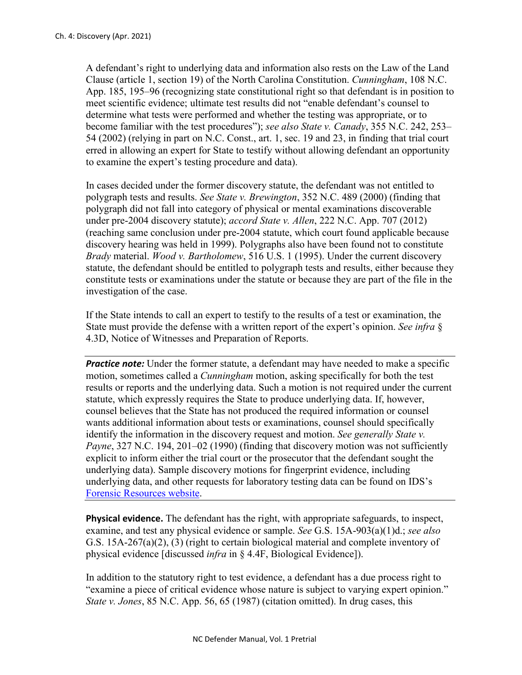A defendant's right to underlying data and information also rests on the Law of the Land Clause (article 1, section 19) of the North Carolina Constitution. *Cunningham*, 108 N.C. App. 185, 195–96 (recognizing state constitutional right so that defendant is in position to meet scientific evidence; ultimate test results did not "enable defendant's counsel to determine what tests were performed and whether the testing was appropriate, or to become familiar with the test procedures"); *see also State v. Canady*, 355 N.C. 242, 253– 54 (2002) (relying in part on N.C. Const., art. 1, sec. 19 and 23, in finding that trial court erred in allowing an expert for State to testify without allowing defendant an opportunity to examine the expert's testing procedure and data).

In cases decided under the former discovery statute, the defendant was not entitled to polygraph tests and results. *See State v. Brewington*, 352 N.C. 489 (2000) (finding that polygraph did not fall into category of physical or mental examinations discoverable under pre-2004 discovery statute); *accord State v. Allen*, 222 N.C. App. 707 (2012) (reaching same conclusion under pre-2004 statute, which court found applicable because discovery hearing was held in 1999). Polygraphs also have been found not to constitute *Brady* material. *Wood v. Bartholomew*, 516 U.S. 1 (1995). Under the current discovery statute, the defendant should be entitled to polygraph tests and results, either because they constitute tests or examinations under the statute or because they are part of the file in the investigation of the case.

If the State intends to call an expert to testify to the results of a test or examination, the State must provide the defense with a written report of the expert's opinion. *See infra* § 4.3D, Notice of Witnesses and Preparation of Reports.

**Practice note:** Under the former statute, a defendant may have needed to make a specific motion, sometimes called a *Cunningham* motion, asking specifically for both the test results or reports and the underlying data. Such a motion is not required under the current statute, which expressly requires the State to produce underlying data. If, however, counsel believes that the State has not produced the required information or counsel wants additional information about tests or examinations, counsel should specifically identify the information in the discovery request and motion. *See generally State v. Payne*, 327 N.C. 194, 201–02 (1990) (finding that discovery motion was not sufficiently explicit to inform either the trial court or the prosecutor that the defendant sought the underlying data). Sample discovery motions for fingerprint evidence, including underlying data, and other requests for laboratory testing data can be found on IDS's [Forensic Resources website.](https://forensicresources.org/view-resources/motions-and-briefs/)

**Physical evidence.** The defendant has the right, with appropriate safeguards, to inspect, examine, and test any physical evidence or sample. *See* G.S. 15A-903(a)(1)d.; *see also*  G.S. 15A-267(a)(2), (3) (right to certain biological material and complete inventory of physical evidence [discussed *infra* in § 4.4F, Biological Evidence]).

In addition to the statutory right to test evidence, a defendant has a due process right to "examine a piece of critical evidence whose nature is subject to varying expert opinion." *State v. Jones*, 85 N.C. App. 56, 65 (1987) (citation omitted). In drug cases, this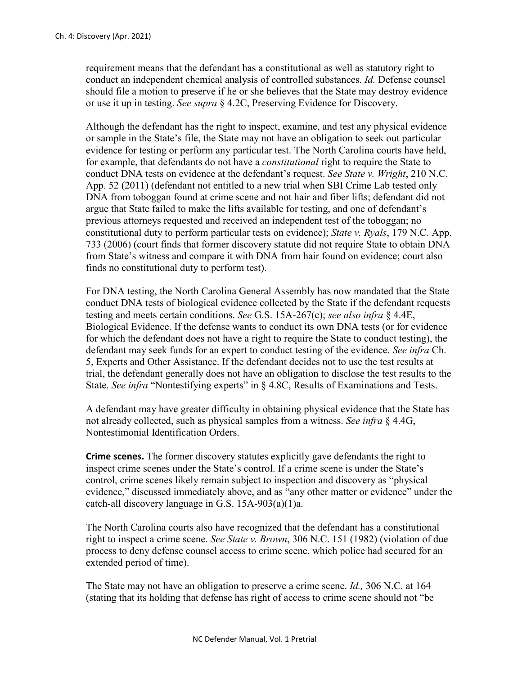requirement means that the defendant has a constitutional as well as statutory right to conduct an independent chemical analysis of controlled substances. *Id.* Defense counsel should file a motion to preserve if he or she believes that the State may destroy evidence or use it up in testing. *See supra* § 4.2C, Preserving Evidence for Discovery.

Although the defendant has the right to inspect, examine, and test any physical evidence or sample in the State's file, the State may not have an obligation to seek out particular evidence for testing or perform any particular test. The North Carolina courts have held, for example, that defendants do not have a *constitutional* right to require the State to conduct DNA tests on evidence at the defendant's request. *See State v. Wright*, 210 N.C. App. 52 (2011) (defendant not entitled to a new trial when SBI Crime Lab tested only DNA from toboggan found at crime scene and not hair and fiber lifts; defendant did not argue that State failed to make the lifts available for testing, and one of defendant's previous attorneys requested and received an independent test of the toboggan; no constitutional duty to perform particular tests on evidence); *State v. Ryals*, 179 N.C. App. 733 (2006) (court finds that former discovery statute did not require State to obtain DNA from State's witness and compare it with DNA from hair found on evidence; court also finds no constitutional duty to perform test).

For DNA testing, the North Carolina General Assembly has now mandated that the State conduct DNA tests of biological evidence collected by the State if the defendant requests testing and meets certain conditions. *See* G.S. 15A-267(c); *see also infra* § 4.4E, Biological Evidence. If the defense wants to conduct its own DNA tests (or for evidence for which the defendant does not have a right to require the State to conduct testing), the defendant may seek funds for an expert to conduct testing of the evidence. *See infra* Ch. 5, Experts and Other Assistance. If the defendant decides not to use the test results at trial, the defendant generally does not have an obligation to disclose the test results to the State. *See infra* "Nontestifying experts" in § 4.8C, Results of Examinations and Tests.

A defendant may have greater difficulty in obtaining physical evidence that the State has not already collected, such as physical samples from a witness. *See infra* § 4.4G, Nontestimonial Identification Orders.

**Crime scenes.** The former discovery statutes explicitly gave defendants the right to inspect crime scenes under the State's control. If a crime scene is under the State's control, crime scenes likely remain subject to inspection and discovery as "physical evidence," discussed immediately above, and as "any other matter or evidence" under the catch-all discovery language in G.S. 15A-903(a)(1)a.

The North Carolina courts also have recognized that the defendant has a constitutional right to inspect a crime scene. *See State v. Brown*, 306 N.C. 151 (1982) (violation of due process to deny defense counsel access to crime scene, which police had secured for an extended period of time).

The State may not have an obligation to preserve a crime scene. *Id.,* 306 N.C. at 164 (stating that its holding that defense has right of access to crime scene should not "be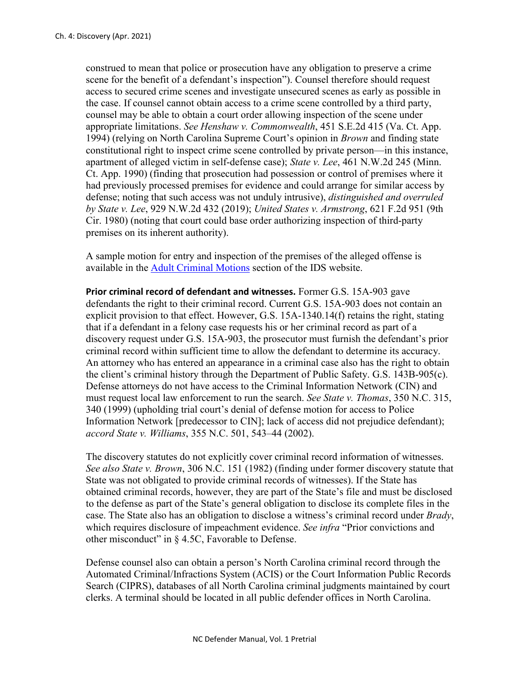construed to mean that police or prosecution have any obligation to preserve a crime scene for the benefit of a defendant's inspection"). Counsel therefore should request access to secured crime scenes and investigate unsecured scenes as early as possible in the case. If counsel cannot obtain access to a crime scene controlled by a third party, counsel may be able to obtain a court order allowing inspection of the scene under appropriate limitations. *See Henshaw v. Commonwealth*, 451 S.E.2d 415 (Va. Ct. App. 1994) (relying on North Carolina Supreme Court's opinion in *Brown* and finding state constitutional right to inspect crime scene controlled by private person—in this instance, apartment of alleged victim in self-defense case); *State v. Lee*, 461 N.W.2d 245 (Minn. Ct. App. 1990) (finding that prosecution had possession or control of premises where it had previously processed premises for evidence and could arrange for similar access by defense; noting that such access was not unduly intrusive), *distinguished and overruled by State v. Lee*, 929 N.W.2d 432 (2019); *United States v. Armstrong*, 621 F.2d 951 (9th Cir. 1980) (noting that court could base order authorizing inspection of third-party premises on its inherent authority).

A sample motion for entry and inspection of the premises of the alleged offense is available in the [Adult Criminal Motions](https://www.ncids.org/adult-criminal-cases/adult-criminal-motions/) section of the IDS website.

**Prior criminal record of defendant and witnesses.** Former G.S. 15A-903 gave defendants the right to their criminal record. Current G.S. 15A-903 does not contain an explicit provision to that effect. However, G.S. 15A-1340.14(f) retains the right, stating that if a defendant in a felony case requests his or her criminal record as part of a discovery request under G.S. 15A-903, the prosecutor must furnish the defendant's prior criminal record within sufficient time to allow the defendant to determine its accuracy. An attorney who has entered an appearance in a criminal case also has the right to obtain the client's criminal history through the Department of Public Safety. G.S. 143B-905(c). Defense attorneys do not have access to the Criminal Information Network (CIN) and must request local law enforcement to run the search. *See State v. Thomas*, 350 N.C. 315, 340 (1999) (upholding trial court's denial of defense motion for access to Police Information Network [predecessor to CIN]; lack of access did not prejudice defendant); *accord State v. Williams*, 355 N.C. 501, 543–44 (2002).

The discovery statutes do not explicitly cover criminal record information of witnesses. *See also State v. Brown*, 306 N.C. 151 (1982) (finding under former discovery statute that State was not obligated to provide criminal records of witnesses). If the State has obtained criminal records, however, they are part of the State's file and must be disclosed to the defense as part of the State's general obligation to disclose its complete files in the case. The State also has an obligation to disclose a witness's criminal record under *Brady*, which requires disclosure of impeachment evidence. *See infra* "Prior convictions and other misconduct" in § 4.5C, Favorable to Defense.

Defense counsel also can obtain a person's North Carolina criminal record through the Automated Criminal/Infractions System (ACIS) or the Court Information Public Records Search (CIPRS), databases of all North Carolina criminal judgments maintained by court clerks. A terminal should be located in all public defender offices in North Carolina.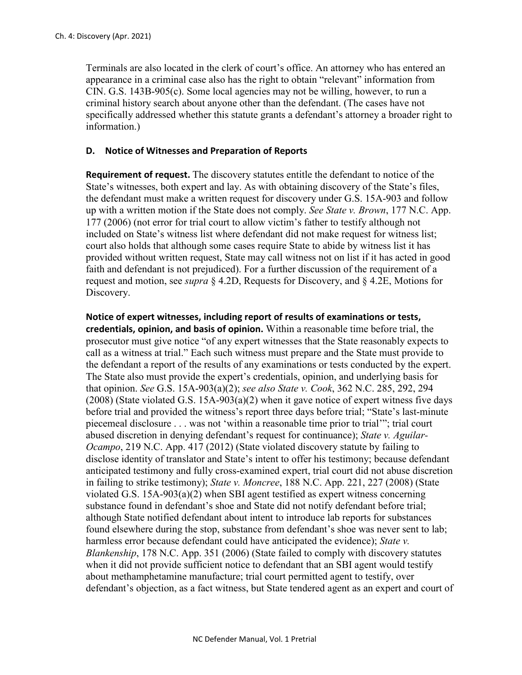Terminals are also located in the clerk of court's office. An attorney who has entered an appearance in a criminal case also has the right to obtain "relevant" information from CIN. G.S. 143B-905(c). Some local agencies may not be willing, however, to run a criminal history search about anyone other than the defendant. (The cases have not specifically addressed whether this statute grants a defendant's attorney a broader right to information.)

## **D. Notice of Witnesses and Preparation of Reports**

**Requirement of request.** The discovery statutes entitle the defendant to notice of the State's witnesses, both expert and lay. As with obtaining discovery of the State's files, the defendant must make a written request for discovery under G.S. 15A-903 and follow up with a written motion if the State does not comply. *See State v. Brown*, 177 N.C. App. 177 (2006) (not error for trial court to allow victim's father to testify although not included on State's witness list where defendant did not make request for witness list; court also holds that although some cases require State to abide by witness list it has provided without written request, State may call witness not on list if it has acted in good faith and defendant is not prejudiced). For a further discussion of the requirement of a request and motion, see *supra* § 4.2D, Requests for Discovery, and § 4.2E, Motions for Discovery.

**Notice of expert witnesses, including report of results of examinations or tests, credentials, opinion, and basis of opinion.** Within a reasonable time before trial, the prosecutor must give notice "of any expert witnesses that the State reasonably expects to call as a witness at trial." Each such witness must prepare and the State must provide to the defendant a report of the results of any examinations or tests conducted by the expert. The State also must provide the expert's credentials, opinion, and underlying basis for that opinion. *See* G.S. 15A-903(a)(2); *see also State v. Cook*, 362 N.C. 285, 292, 294  $(2008)$  (State violated G.S. 15A-903(a)(2) when it gave notice of expert witness five days before trial and provided the witness's report three days before trial; "State's last-minute piecemeal disclosure . . . was not 'within a reasonable time prior to trial'"; trial court abused discretion in denying defendant's request for continuance); *State v. Aguilar-Ocampo*, 219 N.C. App. 417 (2012) (State violated discovery statute by failing to disclose identity of translator and State's intent to offer his testimony; because defendant anticipated testimony and fully cross-examined expert, trial court did not abuse discretion in failing to strike testimony); *State v. Moncree*, 188 N.C. App. 221, 227 (2008) (State violated G.S. 15A-903(a)(2) when SBI agent testified as expert witness concerning substance found in defendant's shoe and State did not notify defendant before trial; although State notified defendant about intent to introduce lab reports for substances found elsewhere during the stop, substance from defendant's shoe was never sent to lab; harmless error because defendant could have anticipated the evidence); *State v. Blankenship*, 178 N.C. App. 351 (2006) (State failed to comply with discovery statutes when it did not provide sufficient notice to defendant that an SBI agent would testify about methamphetamine manufacture; trial court permitted agent to testify, over defendant's objection, as a fact witness, but State tendered agent as an expert and court of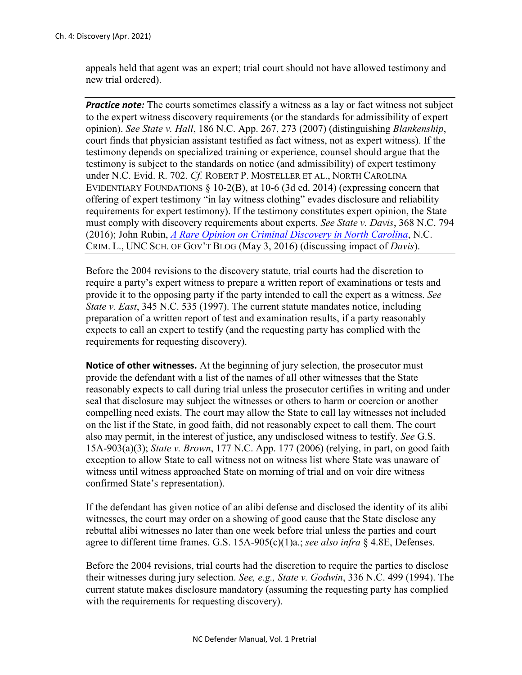appeals held that agent was an expert; trial court should not have allowed testimony and new trial ordered).

**Practice note:** The courts sometimes classify a witness as a lay or fact witness not subject to the expert witness discovery requirements (or the standards for admissibility of expert opinion). *See State v. Hall*, 186 N.C. App. 267, 273 (2007) (distinguishing *Blankenship*, court finds that physician assistant testified as fact witness, not as expert witness). If the testimony depends on specialized training or experience, counsel should argue that the testimony is subject to the standards on notice (and admissibility) of expert testimony under N.C. Evid. R. 702. *Cf.* ROBERT P. MOSTELLER ET AL., NORTH CAROLINA EVIDENTIARY FOUNDATIONS § 10-2(B), at 10-6 (3d ed. 2014) (expressing concern that offering of expert testimony "in lay witness clothing" evades disclosure and reliability requirements for expert testimony). If the testimony constitutes expert opinion, the State must comply with discovery requirements about experts. *See State v. Davis*, 368 N.C. 794 (2016); John Rubin, *[A Rare Opinion on Criminal Discovery in North Carolina](https://nccriminallaw.sog.unc.edu/rare-opinion-criminal-discovery-north-carolina/)*, N.C. CRIM. L., UNC SCH. OF GOV'T BLOG (May 3, 2016) (discussing impact of *Davis*).

Before the 2004 revisions to the discovery statute, trial courts had the discretion to require a party's expert witness to prepare a written report of examinations or tests and provide it to the opposing party if the party intended to call the expert as a witness. *See State v. East*, 345 N.C. 535 (1997). The current statute mandates notice, including preparation of a written report of test and examination results, if a party reasonably expects to call an expert to testify (and the requesting party has complied with the requirements for requesting discovery).

**Notice of other witnesses.** At the beginning of jury selection, the prosecutor must provide the defendant with a list of the names of all other witnesses that the State reasonably expects to call during trial unless the prosecutor certifies in writing and under seal that disclosure may subject the witnesses or others to harm or coercion or another compelling need exists. The court may allow the State to call lay witnesses not included on the list if the State, in good faith, did not reasonably expect to call them. The court also may permit, in the interest of justice, any undisclosed witness to testify. *See* G.S. 15A-903(a)(3); *State v. Brown*, 177 N.C. App. 177 (2006) (relying, in part, on good faith exception to allow State to call witness not on witness list where State was unaware of witness until witness approached State on morning of trial and on voir dire witness confirmed State's representation).

If the defendant has given notice of an alibi defense and disclosed the identity of its alibi witnesses, the court may order on a showing of good cause that the State disclose any rebuttal alibi witnesses no later than one week before trial unless the parties and court agree to different time frames. G.S. 15A-905(c)(1)a.; *see also infra* § 4.8E, Defenses.

Before the 2004 revisions, trial courts had the discretion to require the parties to disclose their witnesses during jury selection. *See, e.g., State v. Godwin*, 336 N.C. 499 (1994). The current statute makes disclosure mandatory (assuming the requesting party has complied with the requirements for requesting discovery).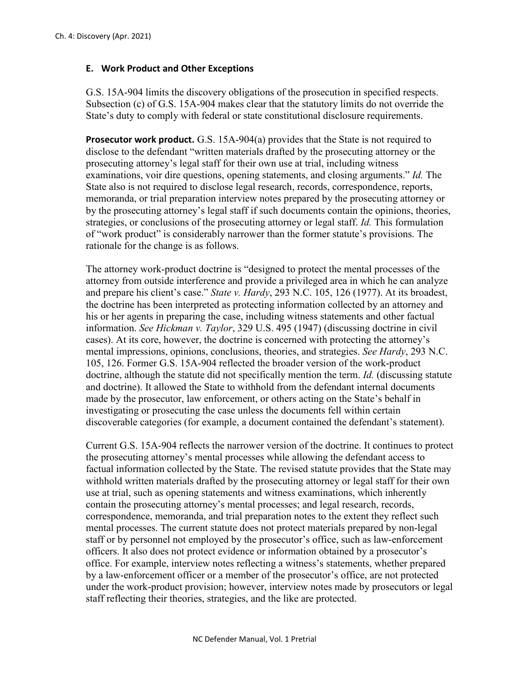### **E. Work Product and Other Exceptions**

G.S. 15A-904 limits the discovery obligations of the prosecution in specified respects. Subsection (c) of G.S. 15A-904 makes clear that the statutory limits do not override the State's duty to comply with federal or state constitutional disclosure requirements.

**Prosecutor work product.** G.S. 15A-904(a) provides that the State is not required to disclose to the defendant "written materials drafted by the prosecuting attorney or the prosecuting attorney's legal staff for their own use at trial, including witness examinations, voir dire questions, opening statements, and closing arguments." *Id.* The State also is not required to disclose legal research, records, correspondence, reports, memoranda, or trial preparation interview notes prepared by the prosecuting attorney or by the prosecuting attorney's legal staff if such documents contain the opinions, theories, strategies, or conclusions of the prosecuting attorney or legal staff. *Id.* This formulation of "work product" is considerably narrower than the former statute's provisions. The rationale for the change is as follows.

The attorney work-product doctrine is "designed to protect the mental processes of the attorney from outside interference and provide a privileged area in which he can analyze and prepare his client's case." *State v. Hardy*, 293 N.C. 105, 126 (1977). At its broadest, the doctrine has been interpreted as protecting information collected by an attorney and his or her agents in preparing the case, including witness statements and other factual information. *See Hickman v. Taylor*, 329 U.S. 495 (1947) (discussing doctrine in civil cases). At its core, however, the doctrine is concerned with protecting the attorney's mental impressions, opinions, conclusions, theories, and strategies. *See Hardy*, 293 N.C. 105, 126. Former G.S. 15A-904 reflected the broader version of the work-product doctrine, although the statute did not specifically mention the term. *Id.* (discussing statute and doctrine). It allowed the State to withhold from the defendant internal documents made by the prosecutor, law enforcement, or others acting on the State's behalf in investigating or prosecuting the case unless the documents fell within certain discoverable categories (for example, a document contained the defendant's statement).

Current G.S. 15A-904 reflects the narrower version of the doctrine. It continues to protect the prosecuting attorney's mental processes while allowing the defendant access to factual information collected by the State. The revised statute provides that the State may withhold written materials drafted by the prosecuting attorney or legal staff for their own use at trial, such as opening statements and witness examinations, which inherently contain the prosecuting attorney's mental processes; and legal research, records, correspondence, memoranda, and trial preparation notes to the extent they reflect such mental processes. The current statute does not protect materials prepared by non-legal staff or by personnel not employed by the prosecutor's office, such as law-enforcement officers. It also does not protect evidence or information obtained by a prosecutor's office. For example, interview notes reflecting a witness's statements, whether prepared by a law-enforcement officer or a member of the prosecutor's office, are not protected under the work-product provision; however, interview notes made by prosecutors or legal staff reflecting their theories, strategies, and the like are protected.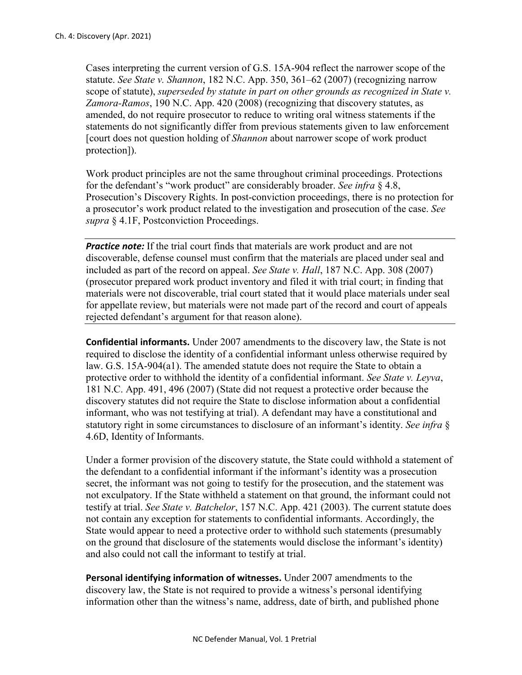Cases interpreting the current version of G.S. 15A-904 reflect the narrower scope of the statute. *See State v. Shannon*, 182 N.C. App. 350, 361–62 (2007) (recognizing narrow scope of statute), *superseded by statute in part on other grounds as recognized in State v. Zamora-Ramos*, 190 N.C. App. 420 (2008) (recognizing that discovery statutes, as amended, do not require prosecutor to reduce to writing oral witness statements if the statements do not significantly differ from previous statements given to law enforcement [court does not question holding of *Shannon* about narrower scope of work product protection]).

Work product principles are not the same throughout criminal proceedings. Protections for the defendant's "work product" are considerably broader. *See infra* § 4.8, Prosecution's Discovery Rights. In post-conviction proceedings, there is no protection for a prosecutor's work product related to the investigation and prosecution of the case. *See supra* § 4.1F, Postconviction Proceedings.

*Practice note:* If the trial court finds that materials are work product and are not discoverable, defense counsel must confirm that the materials are placed under seal and included as part of the record on appeal. *See State v. Hall*, 187 N.C. App. 308 (2007) (prosecutor prepared work product inventory and filed it with trial court; in finding that materials were not discoverable, trial court stated that it would place materials under seal for appellate review, but materials were not made part of the record and court of appeals rejected defendant's argument for that reason alone).

**Confidential informants.** Under 2007 amendments to the discovery law, the State is not required to disclose the identity of a confidential informant unless otherwise required by law. G.S. 15A-904(a1). The amended statute does not require the State to obtain a protective order to withhold the identity of a confidential informant. *See State v. Leyva*, 181 N.C. App. 491, 496 (2007) (State did not request a protective order because the discovery statutes did not require the State to disclose information about a confidential informant, who was not testifying at trial). A defendant may have a constitutional and statutory right in some circumstances to disclosure of an informant's identity. *See infra* § 4.6D, Identity of Informants.

Under a former provision of the discovery statute, the State could withhold a statement of the defendant to a confidential informant if the informant's identity was a prosecution secret, the informant was not going to testify for the prosecution, and the statement was not exculpatory. If the State withheld a statement on that ground, the informant could not testify at trial. *See State v. Batchelor*, 157 N.C. App. 421 (2003). The current statute does not contain any exception for statements to confidential informants. Accordingly, the State would appear to need a protective order to withhold such statements (presumably on the ground that disclosure of the statements would disclose the informant's identity) and also could not call the informant to testify at trial.

**Personal identifying information of witnesses.** Under 2007 amendments to the discovery law, the State is not required to provide a witness's personal identifying information other than the witness's name, address, date of birth, and published phone